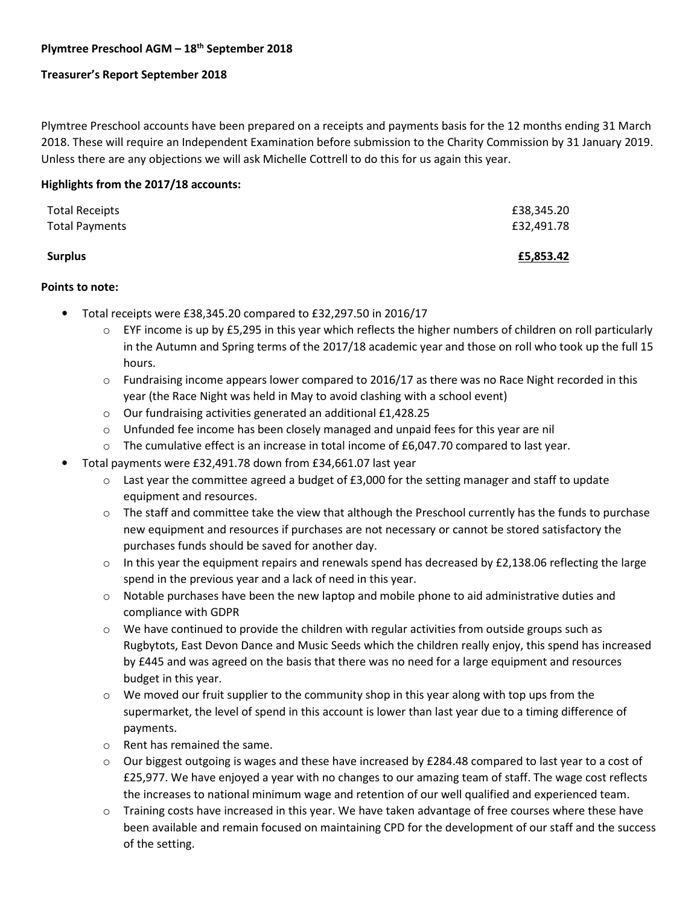# **Plymtree Preschool AGM – 18th September 2018**

### **Treasurer's Report September 2018**

Plymtree Preschool accounts have been prepared on a receipts and payments basis for the 12 months ending 31 March 2018. These will require an Independent Examination before submission to the Charity Commission by 31 January 2019. Unless there are any objections we will ask Michelle Cottrell to do this for us again this year.

### **Highlights from the 2017/18 accounts:**

| <b>Total Receipts</b><br><b>Total Payments</b> | £5,853.42                |
|------------------------------------------------|--------------------------|
|                                                | £38,345.20<br>£32,491.78 |

#### **Points to note:**

- Total receipts were £38,345.20 compared to £32,297.50 in 2016/17
	- $\circ$  EYF income is up by £5,295 in this year which reflects the higher numbers of children on roll particularly in the Autumn and Spring terms of the 2017/18 academic year and those on roll who took up the full 15 hours.
	- $\circ$  Fundraising income appears lower compared to 2016/17 as there was no Race Night recorded in this year (the Race Night was held in May to avoid clashing with a school event)
	- o Our fundraising activities generated an additional £1,428.25
	- $\circ$  Unfunded fee income has been closely managed and unpaid fees for this year are nil
	- $\circ$  The cumulative effect is an increase in total income of £6,047.70 compared to last year.
- Total payments were £32,491.78 down from £34,661.07 last year
	- $\circ$  Last year the committee agreed a budget of £3,000 for the setting manager and staff to update equipment and resources.
	- $\circ$  The staff and committee take the view that although the Preschool currently has the funds to purchase new equipment and resources if purchases are not necessary or cannot be stored satisfactory the purchases funds should be saved for another day.
	- $\circ$  In this year the equipment repairs and renewals spend has decreased by £2,138.06 reflecting the large spend in the previous year and a lack of need in this year.
	- $\circ$  Notable purchases have been the new laptop and mobile phone to aid administrative duties and compliance with GDPR
	- $\circ$  We have continued to provide the children with regular activities from outside groups such as Rugbytots, East Devon Dance and Music Seeds which the children really enjoy, this spend has increased by £445 and was agreed on the basis that there was no need for a large equipment and resources budget in this year.
	- $\circ$  We moved our fruit supplier to the community shop in this year along with top ups from the supermarket, the level of spend in this account is lower than last year due to a timing difference of payments.
	- o Rent has remained the same.
	- $\circ$  Our biggest outgoing is wages and these have increased by £284.48 compared to last year to a cost of £25,977. We have enjoyed a year with no changes to our amazing team of staff. The wage cost reflects the increases to national minimum wage and retention of our well qualified and experienced team.
	- $\circ$  Training costs have increased in this year. We have taken advantage of free courses where these have been available and remain focused on maintaining CPD for the development of our staff and the success of the setting.